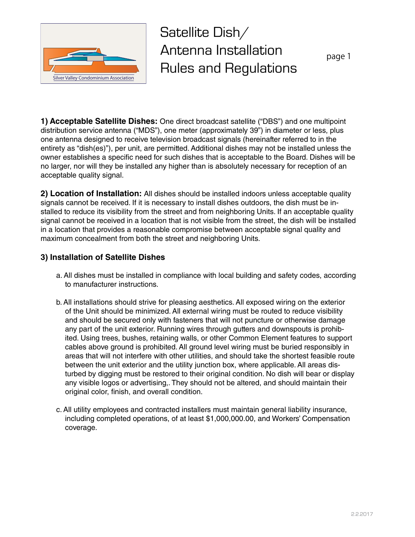

Satellite Dish/ Antenna Installation Rules and Regulations

page 1

**1) Acceptable Satellite Dishes:** One direct broadcast satellite ("DBS") and one multipoint distribution service antenna ("MDS"), one meter (approximately 39") in diameter or less, plus one antenna designed to receive television broadcast signals (hereinafter referred to in the entirety as "dish(es)"), per unit, are permitted. Additional dishes may not be installed unless the owner establishes a specific need for such dishes that is acceptable to the Board. Dishes will be no larger, nor will they be installed any higher than is absolutely necessary for reception of an acceptable quality signal.

**2) Location of Installation:** All dishes should be installed indoors unless acceptable quality signals cannot be received. If it is necessary to install dishes outdoors, the dish must be installed to reduce its visibility from the street and from neighboring Units. If an acceptable quality signal cannot be received in a location that is not visible from the street, the dish will be installed in a location that provides a reasonable compromise between acceptable signal quality and maximum concealment from both the street and neighboring Units.

## **3) Installation of Satellite Dishes**

- a. All dishes must be installed in compliance with local building and safety codes, according to manufacturer instructions.
- b. All installations should strive for pleasing aesthetics. All exposed wiring on the exterior of the Unit should be minimized. All external wiring must be routed to reduce visibility and should be secured only with fasteners that will not puncture or otherwise damage any part of the unit exterior. Running wires through gutters and downspouts is prohibited. Using trees, bushes, retaining walls, or other Common Element features to support cables above ground is prohibited. All ground level wiring must be buried responsibly in areas that will not interfere with other utilities, and should take the shortest feasible route between the unit exterior and the utility junction box, where applicable. All areas disturbed by digging must be restored to their original condition. No dish will bear or display any visible logos or advertising,. They should not be altered, and should maintain their original color, finish, and overall condition.
- c. All utility employees and contracted installers must maintain general liability insurance, including completed operations, of at least \$1,000,000.00, and Workers' Compensation coverage.